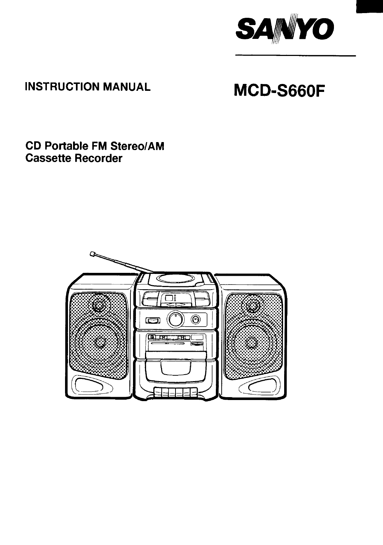

# **INSTRUCTION MANUAL**

# MCD-S660F

## **CD Portable FM Stereo/AM Cassette Recorder**

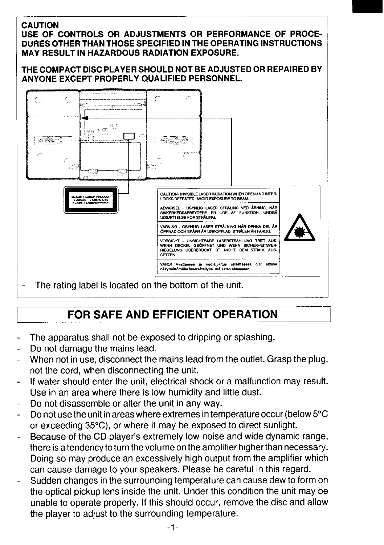#### **CAUTION** USE OF CONTROLS OR ADJUSTMENTS OR PERFORMANCE OF PROCE-DURES OTHER THAN THOSE SPECIFIED IN THE OPERATING INSTRUCTIONS **MAY RESULT IN HAZARDOUS RADIATION EXPOSURE.**

#### THE COMPACT DISC PLAYER SHOULD NOT BE ADJUSTED OR REPAIRED BY ANYONE EXCEPT PROPERLY QUALIFIED PERSONNEL.



# FOR SAFE AND EFFICIENT OPERATION

- The apparatus shall not be exposed to dripping or splashing.
- Do not damage the mains lead.
- When not in use, disconnect the mains lead from the outlet. Grasp the plug, not the cord, when disconnecting the unit.
- If water should enter the unit, electrical shock or a malfunction may result. Use in an area where there is low humidity and little dust.
- Do not disassemble or alter the unit in any way.
- Do not use the unit in areas where extremes in temperature occur (below 5°C or exceeding 35°C), or where it may be exposed to direct sunlight.
- Because of the CD player's extremely low noise and wide dynamic range, there is a tendency to turn the volume on the amplifier higher than necessary. Doing so may produce an excessively high output from the amplifier which can cause damage to your speakers. Please be careful in this regard.
- Sudden changes in the surrounding temperature can cause dew to form on the optical pickup lens inside the unit. Under this condition the unit may be unable to operate properly. If this should occur, remove the disc and allow the player to adjust to the surrounding temperature.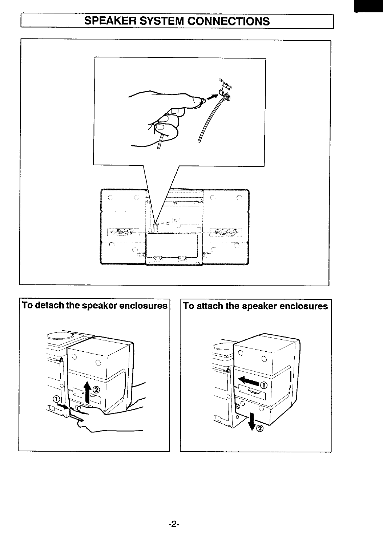# **SPEAKER SYSTEM CONNECTIONS**





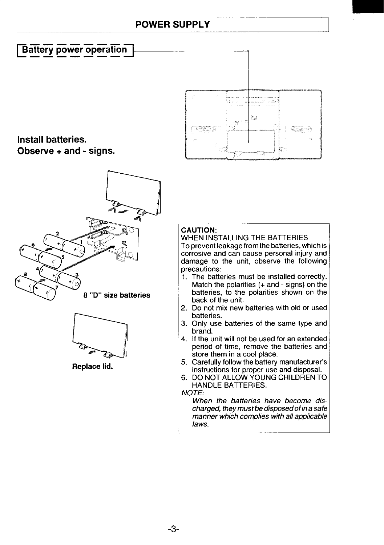### **POWER SUPPLY**

#### **Battery power operation**  $-$

### **Install batteries. Observe + and - signs.**









#### **CAUTION:**

WHEN INSTALLING THE BATTERIES To prevent leakage from the batteries, which is corrosive and can cause personal injury and damage to the unit, observe the following precautions:

- 1. The batteries must be installed correctly. Match the polarities (+ and - signs) on the batteries, to the polarities shown on the back of the unit.
- 2. Do not mix new batteries with old or used batteries.
- 3. Only use batteries of the same type and brand.
- 4. If the unit will not be used for an extended period of time, remove the batteries and store them in a cool place.
- 5. Carefully follow the battery manufacturer's instructions for proper use and disposal.
- 6. DO NOT ALLOW YOUNG CHILDREN TO HANDLE BATTERIES.

#### **NOTE:**

**When the batteries have become discharged, they must be disposedofin a safe manner which complies with all applicable laws.**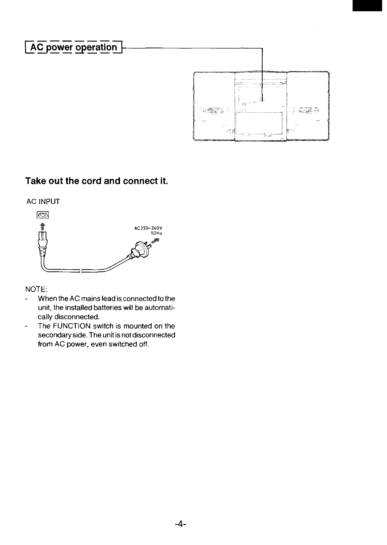

### **Take out the cord and connect it.**





NOTE:

- When the AC mains lead is connected to the unit, the installed batteries will be automatically disconnected.
- The FUNCTION switch is mounted on the  $\overline{a}$ secondary side. The unit is not disconnected from AC power, even switched off.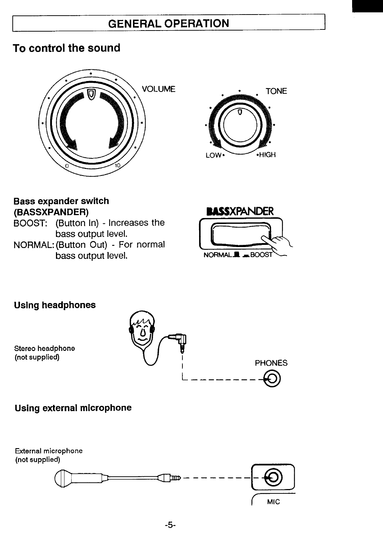## **GENERAL OPERATION**

### To control the sound





### **Bass expander switch** (BASSXPANDER)

BOOST: (Button In) - Increases the bass output level. NORMAL: (Button Out) - For normal bass output level.



**Using headphones** 

Stereo headphone (not supplied)



### Using external microphone

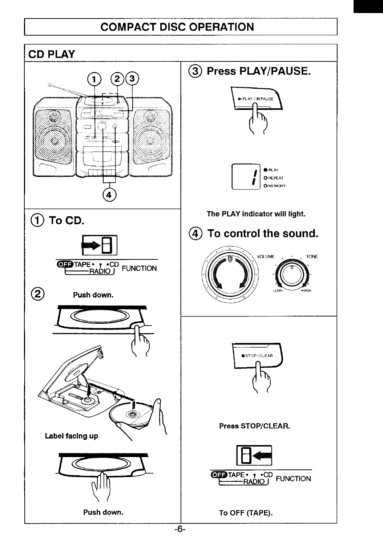# **COMPACT DISC OPERATION**

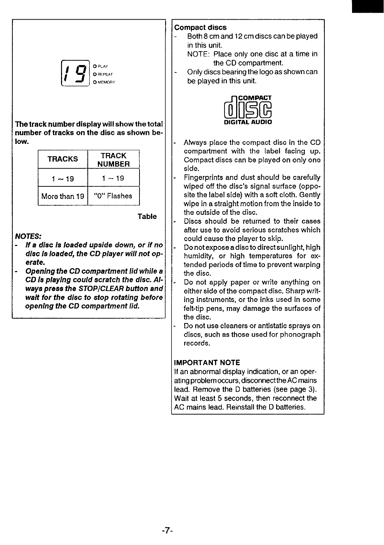

**~etrack number display will show the total lumber of tracks on the disc as** shown below.

| <b>TRACKS</b> | <b>TRACK</b><br><b>NUMBER</b> |  |  |
|---------------|-------------------------------|--|--|
| $1 - 19$      | $1 - 19$                      |  |  |
| More than 19  | "0" Flashes                   |  |  |
|               |                               |  |  |

**Table**

**JOTES:**

- **If a disc is loaded upside down, or if no disc is loaded, the CD player will not op crate.**
- **Opening the CD wmpartment lid while** a **CD la p/aying wuld scratch the disc. AL waya press the STOPJCLEAR button ana wait for the disc to stop rotating before operdng the CD wmpartment lid.**

#### **Compact** discs

Both 8 cm and 12 cm discs can be played in this unit.

NOTE: Place only one disc at a time in the CD compartment.

- Only discs bearing the logo as shown can be played in this unit.



- Always place the compact disc in the CD compartment with the label facing up. Compact discs can be played on only one side,
- Fingerprints and dust should be carefully wiped off the disc's signal surface (opposite the label side) with a soft cloth. Gently wipe in a straight motion from the inside to the outside of the disc.
- Discs should be returned to their cases after use to avoid serious scratches which could cause the player to skip.
- Do not expose a disc to direct sunlight, high humidity, or high temperatures for extended periods of time to prevent warping the disc.
- . Do not apply paper or write anything on either side of the compact disc. Sharp writing instruments, or the inks used in some felt-tip pens, may damage the surfaces of the disc.
- . Do not use cleaners or antistatic sprays on discs, such as those used for phonograph records.

#### IMPORTANT NOTE

If an abnormal display indication, or an operating problem occurs, disconnect the AC mains lead. Remove the D batteries (see page 3). Wait at least 5 seconds, then reconnect the AC mains lead. Reinstall the D batteries.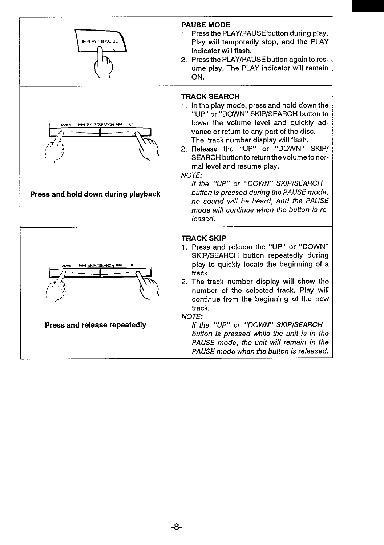

**Press and hold down during playback** 



#### **PAUSE MODE**

- 1. Press the PiAY/PAUSE button during play. **PLAY/II PAUSE** indicator will flash.
	- 2. Press the PIAY/PAUSE button again to resume play. The PIAY indicator will remain ON.

#### TRACK SEARCH

- 1. In the play mode, press and hold down the "UP" or "DOWN" SKIP/SEARCH button to lower the volume level and quickly advance or return to any part of the disc. The track number display will flash.
- 2. Release the "UP" or "DOWN" SKIP/ SEARCH buttonto return thevolumeto normal level and resume play.

**NOTE:**

**If the "UP" or "DOWN" SKIPISEARCH no sound will be heard, and the PAUSE mode will continue when the button is released.**

#### TRACK SKIP

- 1. Press and release the "UP" or "DOWN" SKIP/SEARCH button repeatedly during play to quickly locate the beginning of a track.
- 2. The track number display will show the number of the selected track. Play will continue from the beginning of the new track.

**NOTE:**

**Press and release repeatedly If the "UP" or "DOWN" SKIPJSEARCH button is pressed while the unit is in the PAUSE mode, the unit will remain in the PAUSE mode when the button is released.**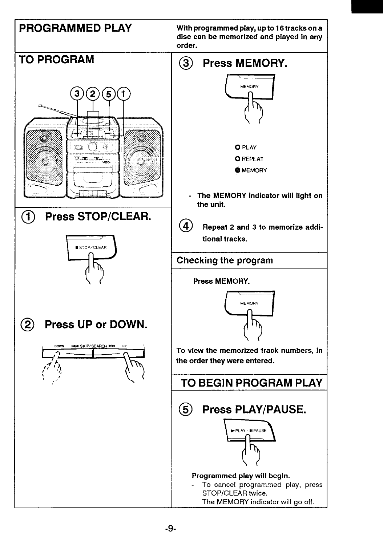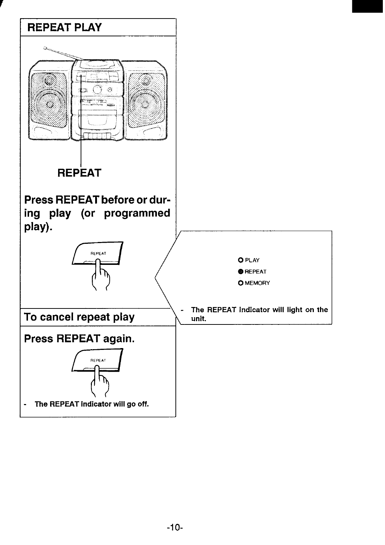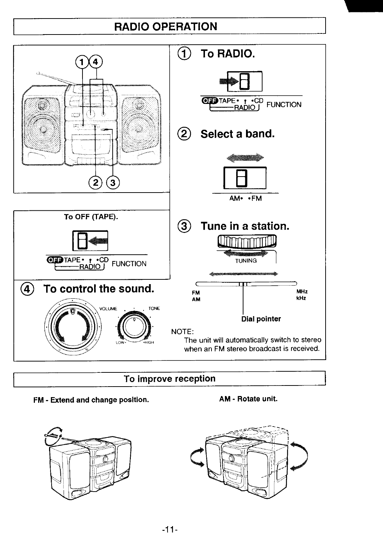# **RADIO OPERATION**



### To improve reception

FM - Extend and change position.

AM - Rotate unit.



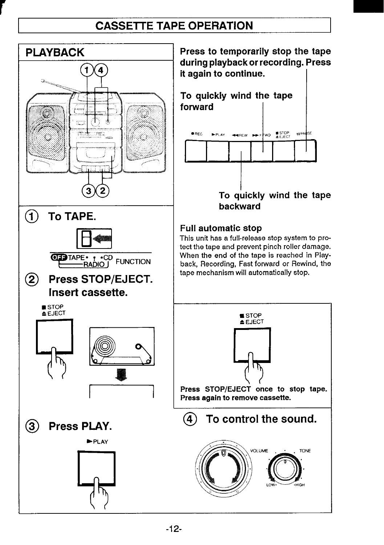# **CASSEITE TAPE OPERATION**



**Press to temporarily stop the tape during playback or recording. Press**

**To quickly wind the tape**



# **To quickly wind the tape**

This unit has a full-release stop system to protect the tape and prevent pinch roller damage. When the end of the tape is reached in Playback, Recording, Fast forward or Rewind, the tape mechanism will automatically stop.

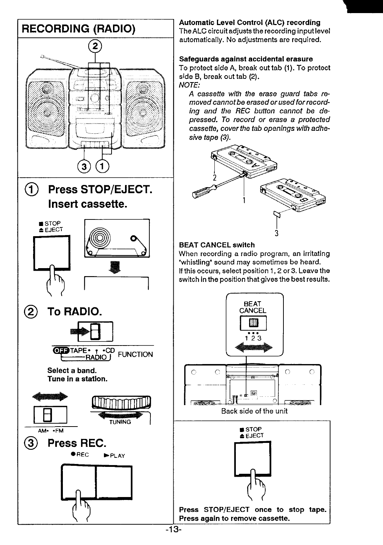

#### **Automatic Level Control (ALC) recording**

TheALC circuit adjusts the recording input level automatically. No adjustments are required.

#### **Safeguards against accidental erasure**

To protect side A, break out tab (1). To protect **side B, break** out tab **(2).**

**A cassette with the erase guard tabs removed cannot be erased or used for recording and the REC button cannot be depressed. To record or erase a protected cassetie, cover the tab openings with adhesive tape (3).**



### BEAT CANCEL switch

When recording a radio program, an irritating 'whistling" sound may sometimes be heard. If this occurs, select position 1,2 or **3. Leave the** switch in the position that gives the best results.

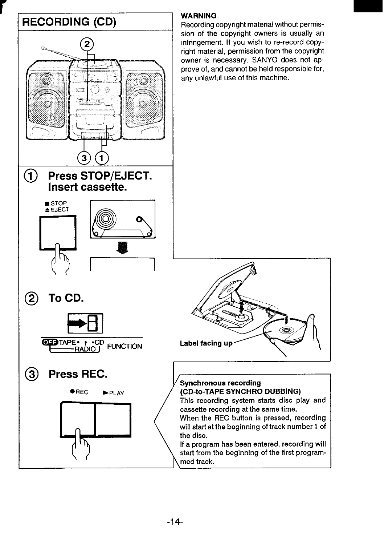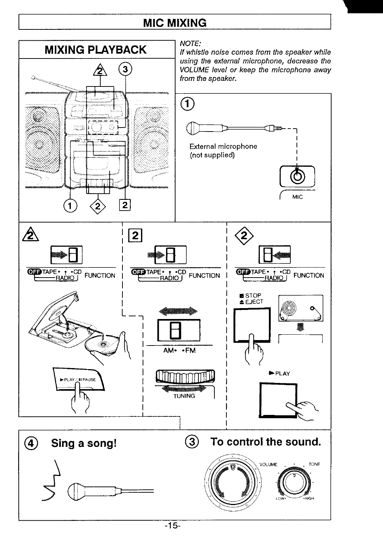# **MIC MIXING**

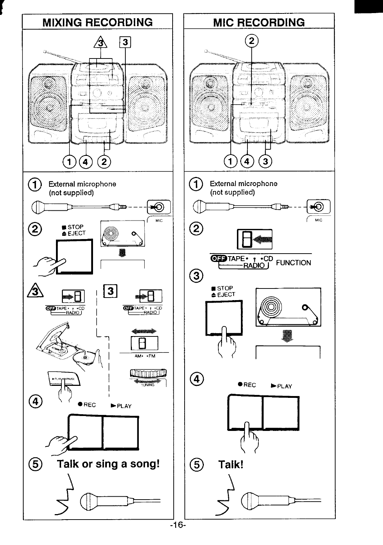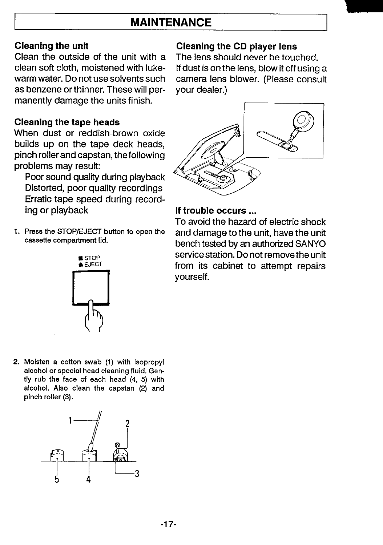# **MAINTENANCE**

### **Cleaning the unit**

Clean the outside of the unit with a clean soft cloth, moistened with lukewarm water. Do not use solvents such as benzene or thinner. These will permanently damage the units finish.

### **Cleaning the tape heads**

When dust or reddish-brown oxide builds up on the tape deck heads, pinch roller and capstan, the following problems may result:

Poor sound quality during playback Distorted, poor quality recordings Erratic tape speed during recording or playback

1. Press the STOP/EJECT button to open the cassette compartment lid.



### **Cleaning the CD player lens**

The lens should never be touched. If dust is on the lens, blow it off using a camera lens blower. (Please consult your dealer.)



### **If trouble occurs ...**

To avoid the hazard of electric shock and damage to the unit, have the unit bench tested by an authorized SANYO service station, Do not remove the unit from its cabinet to attempt repairs yourself.

2. Moisten a cotton swab (1) with Isopropyl alcohol or special head cleaning fluid. Gently rub the face of each head (4, 5) with alcohol. Also clean the capstan (2) and pinch roller (3).

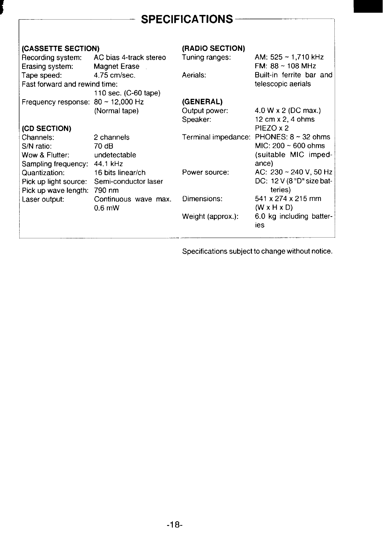# **SPECIFICATIONS**

| (CASSETTE SECTION)                      |                                        | (RADIO SECTION)     |                                           |
|-----------------------------------------|----------------------------------------|---------------------|-------------------------------------------|
| Recording system:<br>Erasing system:    | AC bias 4-track stereo<br>Magnet Erase | Tuning ranges:      | AM: $525 - 1,710$ kHz<br>FM: 88 ~ 108 MHz |
| Tape speed:                             | 4.75 cm/sec.                           | Aerials:            | Built-in ferrite bar and                  |
| Fast forward and rewind time:           |                                        |                     | telescopic aerials                        |
|                                         | 110 sec. (C-60 tape)                   |                     |                                           |
| Frequency response: $80 \sim 12,000$ Hz |                                        | (GENERAL)           |                                           |
|                                         | (Normal tape)                          | Output power:       | 4.0 W x 2 (DC max.)                       |
|                                         |                                        | Speaker:            | 12 cm $\times$ 2, 4 ohms                  |
| (CD SECTION)                            |                                        |                     | PIEZO x 2                                 |
| Channels:                               | 2 channels                             | Terminal impedance: | PHONES: $8 \sim 32$ ohms                  |
| S/N ratio:                              | 70 dB                                  |                     | $MIC: 200 \sim 600$ ohms                  |
| Wow & Flutter:                          | undetectable                           |                     | (suitable MIC imped-                      |
| Sampling frequency:                     | 44.1 kHz                               |                     | ance)                                     |
| Quantization:                           | 16 bits linear/ch                      | Power source:       | AC: $230 \sim 240$ V, 50 Hz               |
| Pick up light source:                   | Semi-conductor laser                   |                     | DC: 12 V (8 "D" size bat-                 |
| Pick up wave length:                    | 790 nm                                 |                     | teries)                                   |
| Laser output:                           | Continuous wave max.                   | Dimensions:         | 541 x 274 x 215 mm                        |
|                                         | $0.6$ mW                               |                     | $(W \times H \times D)$                   |
|                                         |                                        | Weight (approx.):   | 6.0 kg including batter-<br>ies           |
|                                         |                                        |                     |                                           |

Specifications subject to change without notice.